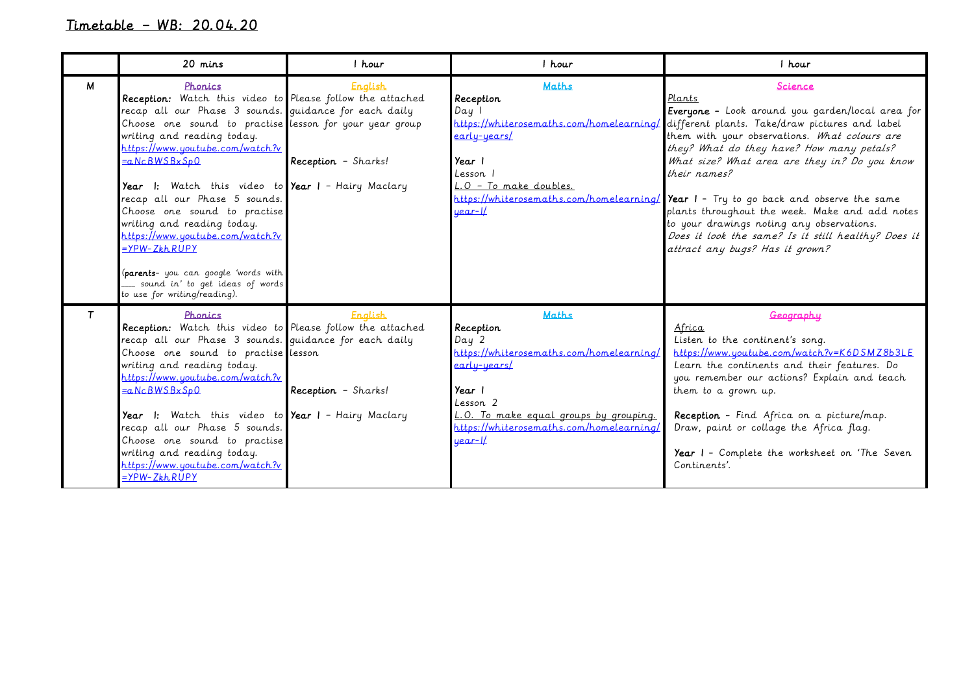## Timetable – WB: 20.04.20

|        | 20 mins                                                                                                                                                                                                                                                                                                                                                                                                                                                                                                                                                                                             | I hour                                | I hour                                                                                                                                                                                                                              | 1 hour                                                                                                                                                                                                                                                                                                                                                                                                                                                                                                                                                                   |
|--------|-----------------------------------------------------------------------------------------------------------------------------------------------------------------------------------------------------------------------------------------------------------------------------------------------------------------------------------------------------------------------------------------------------------------------------------------------------------------------------------------------------------------------------------------------------------------------------------------------------|---------------------------------------|-------------------------------------------------------------------------------------------------------------------------------------------------------------------------------------------------------------------------------------|--------------------------------------------------------------------------------------------------------------------------------------------------------------------------------------------------------------------------------------------------------------------------------------------------------------------------------------------------------------------------------------------------------------------------------------------------------------------------------------------------------------------------------------------------------------------------|
| М      | Phonics<br>Reception: Watch this video to Please follow the attached<br>recap all our Phase 3 sounds. guidance for each daily<br>Choose one sound to practise lesson for your year group<br>writing and reading today.<br>https://www.youtube.com/watch?v<br>=aNcBWSBxSp0<br>Year I: Watch this video to Year I - Hairy Maclary<br>recap all our Phase 5 sounds.<br>Choose one sound to practise<br>writing and reading today.<br>https://www.youtube.com/watch?v<br>$=$ $YPW-ZkhRUPY$<br>(parents- you can google 'words with<br>_ sound in' to get ideas of words<br>to use for writing/reading). | <b>English</b><br>Reception - Sharks! | <b>Maths</b><br>Reception<br>Day<br><u>early-years/</u><br>Year 1<br>Lesson 1<br>L.O - To make doubles.<br>https://whiterosemaths.com/homelearning/<br>uear-Il                                                                      | Science<br>Plants<br>Everyone - Look around you garden/local area for<br>https://whiterosemaths.com/homelearning/ different plants. Take/draw pictures and label<br>them with your observations. What colours are<br>they? What do they have? How many petals?<br>What size? What area are they in? Do you know<br>their names?<br>Year I - Try to go back and observe the same<br>plants throughout the week. Make and add notes<br>to your drawings noting any observations.<br>Does it look the same? Is it still healthy? Does it<br>attract any bugs? Has it grown? |
| $\tau$ | Phonics<br>Reception: Watch this video to Please follow the attached<br>recap all our Phase 3 sounds. quidance for each daily<br>Choose one sound to practise lesson<br>writing and reading today.<br>https://www.youtube.com/watch?v<br>=aNcBWSBxSpO<br>Year I: Watch this video to Year I - Hairy Maclary<br>recap all our Phase 5 sounds.<br>Choose one sound to practise<br>writing and reading today.<br>https://www.youtube.com/watch?v<br><u> =YPW-ZkhRŬPY</u>                                                                                                                               | <b>English</b><br>Reception - Sharks! | <b>Maths</b><br>Reception<br>Day 2<br>https://whiterosemaths.com/homelearning/<br><u>early-years/</u><br>Year 1<br>Lesson 2<br>L.O. To make equal groups by grouping.<br>https://whiterosemaths.com/homelearning/<br><u>uear-I/</u> | Geography<br>Africa<br>Listen to the continent's song.<br>https://www.youtube.com/watch?v=K6DSMZ8b3LE<br>Learn the continents and their features. Do<br>you remember our actions? Explain and teach<br>them to a grown up.<br>Reception - Find Africa on a picture/map.<br>Draw, paint or collage the Africa flag.<br>Year I - Complete the worksheet on 'The Seven<br>Continents'.                                                                                                                                                                                      |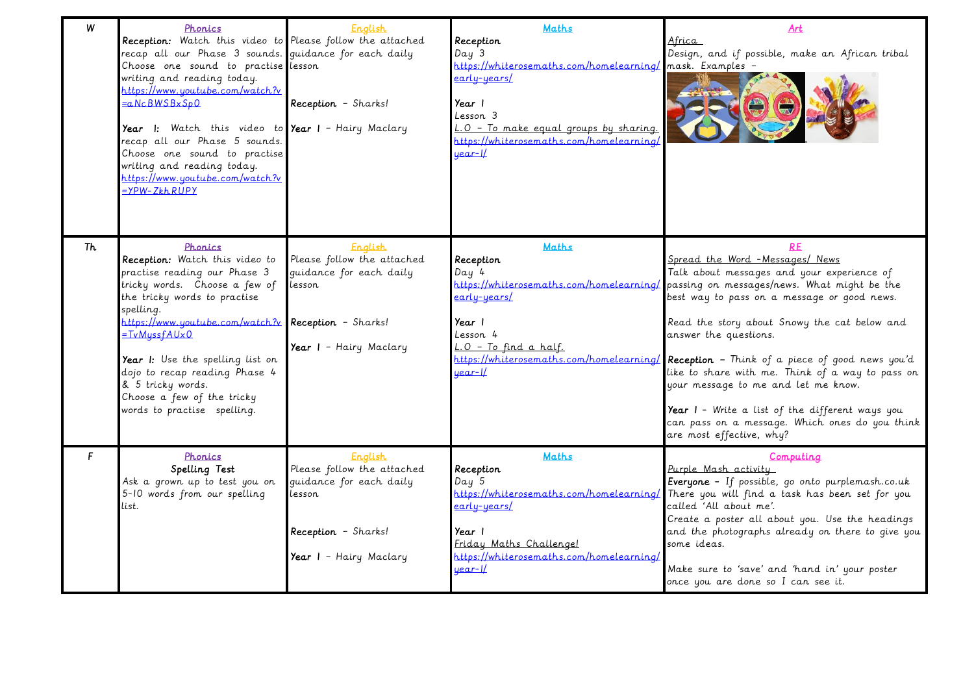| W   | Phonics<br>Reception: Watch this video to Please follow the attached<br>recap all our Phase 3 sounds. quidance for each daily<br>Choose one sound to practise lesson<br>writing and reading today.<br>https://www.youtube.com/watch?v<br>=aNcBWSBxSp0                                                                                                             | <b>English</b><br>Reception - Sharks!                                                                                              | <b>Maths</b><br>Reception<br>Day <sub>3</sub><br>https://whiterosemaths.com/homelearning/mask. Examples -<br>early-years/<br>Year I<br>Lesson 3 | Art<br>Africa<br>Design, and if possible, make an African tribal                                                                                                                                                                                                                                                                                                                                                                                                                                                                                                                                                       |
|-----|-------------------------------------------------------------------------------------------------------------------------------------------------------------------------------------------------------------------------------------------------------------------------------------------------------------------------------------------------------------------|------------------------------------------------------------------------------------------------------------------------------------|-------------------------------------------------------------------------------------------------------------------------------------------------|------------------------------------------------------------------------------------------------------------------------------------------------------------------------------------------------------------------------------------------------------------------------------------------------------------------------------------------------------------------------------------------------------------------------------------------------------------------------------------------------------------------------------------------------------------------------------------------------------------------------|
|     | Year I: Watch this video to Year I - Hairy Maclary<br>recap all our Phase 5 sounds.<br>Choose one sound to practise<br>writing and reading today.<br>https://www.youtube.com/watch?v<br>-YPW-ZkhRUPY                                                                                                                                                              |                                                                                                                                    | L.O - To make equal groups by sharing.<br>https://whiterosemaths.com/homelearning/<br><u>year-1/</u>                                            |                                                                                                                                                                                                                                                                                                                                                                                                                                                                                                                                                                                                                        |
| Th. | Phonics<br>Reception: Watch this video to<br>practise reading our Phase 3<br>tricky words. Choose a few of<br>the tricky words to practise<br>spelling.<br>https://www.youtube.com/watch?v<br>=TvMyssfAUx0<br>Year I: Use the spelling list on<br>dojo to recap reading Phase 4<br>& 5 tricky words.<br>Choose a few of the tricky<br>words to practise spelling. | <b>English</b><br>Please follow the attached<br>quidance for each daily<br>lesson<br>Reception - Sharks!<br>Year I - Hairy Maclary | <b>Maths</b><br>Reception<br>Day 4<br>early-years/<br>Year I<br>Lesson 4<br>L.O - To find a half.<br>uear-IL                                    | Spread the Word - Messages/ News<br>Talk about messages and your experience of<br>https://whiterosemaths.com/homelearning/ passing on messages/news. What might be the<br>best way to pass on a message or good news.<br>Read the story about Snowy the cat below and<br>answer the questions.<br>https://whiterosemaths.com/homelearning/ Reception - Think of a piece of good news you'd<br>like to share with me. Think of a way to pass on<br>your message to me and let me know.<br>Year I - Write a list of the different ways you<br>can pass on a message. Which ones do you think<br>are most effective, why? |
| F.  | Phonics<br>Spelling Test<br>Ask a grown up to test you on<br>5-10 words from our spelling<br>list.                                                                                                                                                                                                                                                                | <b>English</b><br>Please follow the attached<br>quidance for each daily<br>lesson<br>Reception - Sharks!<br>Year I - Hairy Maclary | <b>Maths</b><br>Reception<br>Day 5<br>early-years/<br>Year I<br>Friday Maths Challengel<br>https://whiterosemaths.com/homelearning/<br>uear-1/  | Computing<br>Purple Mash activity<br>Everyone - If possible, go onto purplemash.co.uk<br>https://whiterosemaths.com/homelearning/ There you will find a task has been set for you<br>called 'All about me'.<br>Create a poster all about you. Use the headings<br>and the photographs already on there to give you<br>some ideas.<br>Make sure to 'save' and 'hand in' your poster<br>once you are done so I can see it.                                                                                                                                                                                               |